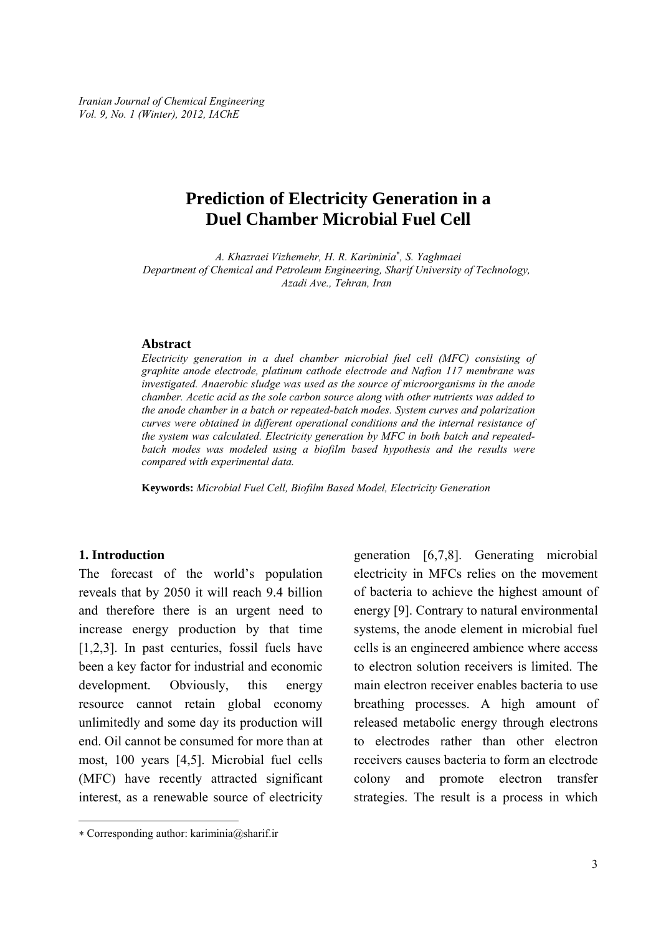*Iranian Journal of Chemical Engineering Vol. 9, No. 1 (Winter), 2012, IAChE* 

# **Prediction of Electricity Generation in a Duel Chamber Microbial Fuel Cell**

*A. Khazraei Vizhemehr, H. R. Kariminia*<sup>∗</sup> *, S. Yaghmaei Department of Chemical and Petroleum Engineering, Sharif University of Technology, Azadi Ave., Tehran, Iran* 

#### **Abstract**

*Electricity generation in a duel chamber microbial fuel cell (MFC) consisting of graphite anode electrode, platinum cathode electrode and Nafion 117 membrane was investigated. Anaerobic sludge was used as the source of microorganisms in the anode chamber. Acetic acid as the sole carbon source along with other nutrients was added to the anode chamber in a batch or repeated-batch modes. System curves and polarization curves were obtained in different operational conditions and the internal resistance of the system was calculated. Electricity generation by MFC in both batch and repeatedbatch modes was modeled using a biofilm based hypothesis and the results were compared with experimental data.* 

**Keywords:** *Microbial Fuel Cell, Biofilm Based Model, Electricity Generation* 

#### **1. Introduction**

-

The forecast of the world's population reveals that by 2050 it will reach 9.4 billion and therefore there is an urgent need to increase energy production by that time [1,2,3]. In past centuries, fossil fuels have been a key factor for industrial and economic development. Obviously, this energy resource cannot retain global economy unlimitedly and some day its production will end. Oil cannot be consumed for more than at most, 100 years [4,5]. Microbial fuel cells (MFC) have recently attracted significant interest, as a renewable source of electricity

generation [6,7,8]. Generating microbial electricity in MFCs relies on the movement of bacteria to achieve the highest amount of energy [9]. Contrary to natural environmental systems, the anode element in microbial fuel cells is an engineered ambience where access to electron solution receivers is limited. The main electron receiver enables bacteria to use breathing processes. A high amount of released metabolic energy through electrons to electrodes rather than other electron receivers causes bacteria to form an electrode colony and promote electron transfer strategies. The result is a process in which

<sup>∗</sup> Corresponding author: kariminia@sharif.ir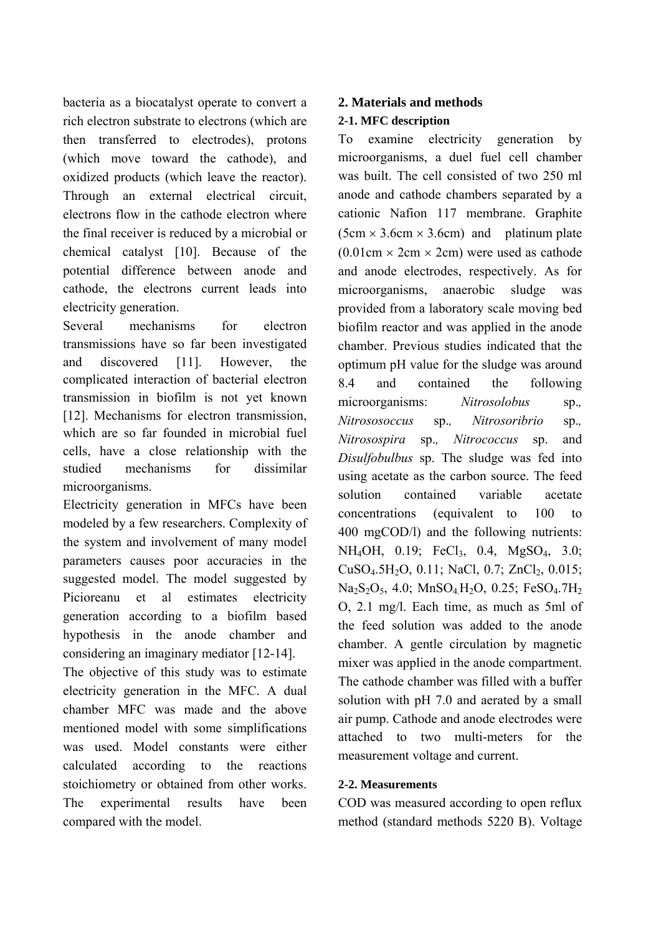bacteria as a biocatalyst operate to convert a rich electron substrate to electrons (which are then transferred to electrodes), protons (which move toward the cathode), and oxidized products (which leave the reactor). Through an external electrical circuit, electrons flow in the cathode electron where the final receiver is reduced by a microbial or chemical catalyst [10]. Because of the potential difference between anode and cathode, the electrons current leads into electricity generation.

Several mechanisms for electron transmissions have so far been investigated and discovered [11]. However, the complicated interaction of bacterial electron transmission in biofilm is not yet known [12]. Mechanisms for electron transmission, which are so far founded in microbial fuel cells, have a close relationship with the studied mechanisms for dissimilar microorganisms.

Electricity generation in MFCs have been modeled by a few researchers. Complexity of the system and involvement of many model parameters causes poor accuracies in the suggested model. The model suggested by Picioreanu et al estimates electricity generation according to a biofilm based hypothesis in the anode chamber and considering an imaginary mediator [12-14].

The objective of this study was to estimate electricity generation in the MFC. A dual chamber MFC was made and the above mentioned model with some simplifications was used. Model constants were either calculated according to the reactions stoichiometry or obtained from other works. The experimental results have been compared with the model.

## **2. Materials and methods**

## **2-1. MFC description**

To examine electricity generation by microorganisms, a duel fuel cell chamber was built. The cell consisted of two 250 ml anode and cathode chambers separated by a cationic Nafion 117 membrane. Graphite  $(5cm \times 3.6cm \times 3.6cm)$  and platinum plate  $(0.01cm \times 2cm \times 2cm)$  were used as cathode and anode electrodes, respectively. As for microorganisms, anaerobic sludge was provided from a laboratory scale moving bed biofilm reactor and was applied in the anode chamber. Previous studies indicated that the optimum pH value for the sludge was around 8.4 and contained the following microorganisms: *Nitrosolobus* sp.*, Nitrososoccus* sp.*, Nitrosoribrio* sp.*, Nitrosospira* sp.*, Nitrococcus* sp. and *Disulfobulbus* sp. The sludge was fed into using acetate as the carbon source. The feed solution contained variable acetate concentrations (equivalent to 100 to 400 mgCOD/l) and the following nutrients: NH<sub>4</sub>OH, 0.19; FeCl<sub>3</sub>, 0.4, MgSO<sub>4</sub>, 3.0; CuSO<sub>4</sub>.5H<sub>2</sub>O, 0.11; NaCl, 0.7; ZnCl<sub>2</sub>, 0.015; Na<sub>2</sub>S<sub>2</sub>O<sub>5</sub>, 4.0; MnSO<sub>4</sub> H<sub>2</sub>O, 0.25; FeSO<sub>4</sub>.7H<sub>2</sub> O, 2.1 mg/l. Each time, as much as 5ml of the feed solution was added to the anode chamber. A gentle circulation by magnetic mixer was applied in the anode compartment. The cathode chamber was filled with a buffer solution with pH 7.0 and aerated by a small air pump. Cathode and anode electrodes were attached to two multi-meters for the measurement voltage and current.

## **2-2. Measurements**

COD was measured according to open reflux method (standard methods 5220 B). Voltage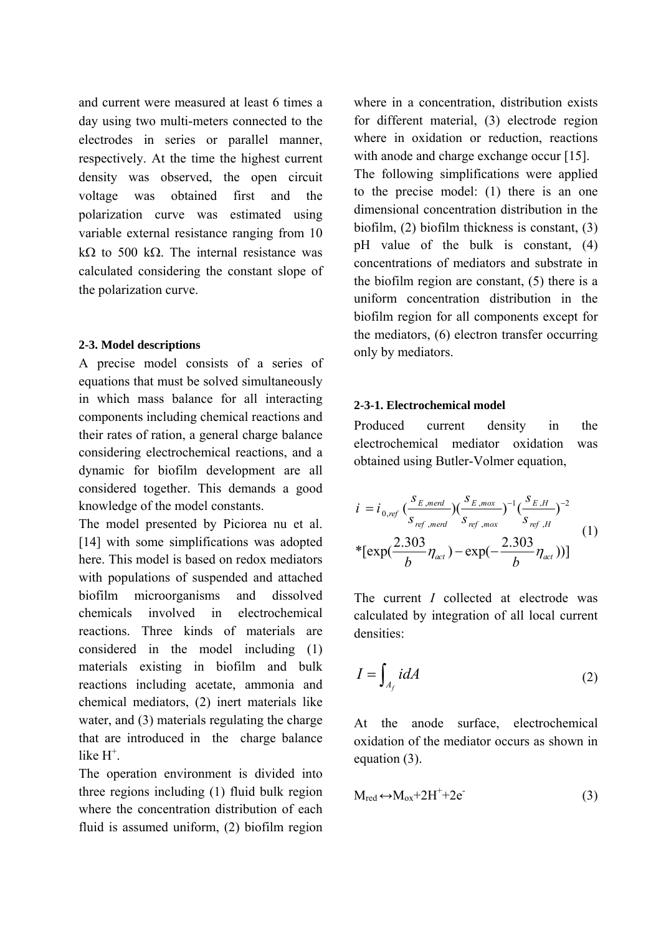and current were measured at least 6 times a day using two multi-meters connected to the electrodes in series or parallel manner, respectively. At the time the highest current density was observed, the open circuit voltage was obtained first and the polarization curve was estimated using variable external resistance ranging from 10 kΩ to 500 kΩ. The internal resistance was calculated considering the constant slope of the polarization curve.

## **2-3. Model descriptions**

A precise model consists of a series of equations that must be solved simultaneously in which mass balance for all interacting components including chemical reactions and their rates of ration, a general charge balance considering electrochemical reactions, and a dynamic for biofilm development are all considered together. This demands a good knowledge of the model constants.

The model presented by Piciorea nu et al. [14] with some simplifications was adopted here. This model is based on redox mediators with populations of suspended and attached biofilm microorganisms and dissolved chemicals involved in electrochemical reactions. Three kinds of materials are considered in the model including (1) materials existing in biofilm and bulk reactions including acetate, ammonia and chemical mediators, (2) inert materials like water, and (3) materials regulating the charge that are introduced in the charge balance like  $H^+$ .

The operation environment is divided into three regions including (1) fluid bulk region where the concentration distribution of each fluid is assumed uniform, (2) biofilm region where in a concentration, distribution exists for different material, (3) electrode region where in oxidation or reduction, reactions with anode and charge exchange occur [15]. The following simplifications were applied to the precise model: (1) there is an one dimensional concentration distribution in the biofilm, (2) biofilm thickness is constant, (3) pH value of the bulk is constant, (4) concentrations of mediators and substrate in the biofilm region are constant, (5) there is a uniform concentration distribution in the biofilm region for all components except for the mediators, (6) electron transfer occurring only by mediators.

## **2-3-1. Electrochemical model**

Produced current density in the electrochemical mediator oxidation was obtained using Butler-Volmer equation,

$$
i = i_{0,ref} \left( \frac{s_{E,med}}{s_{ref,med}} \right) \left( \frac{s_{E,max}}{s_{ref,max}} \right)^{-1} \left( \frac{s_{E,H}}{s_{ref,H}} \right)^{-2}
$$
  
\*[exp $\left( \frac{2.303}{b} \eta_{act} \right)$  - exp $\left( -\frac{2.303}{b} \eta_{act} \right)$ )] (1)

The current *I* collected at electrode was calculated by integration of all local current densities:

$$
I = \int_{A_f} idA \tag{2}
$$

At the anode surface, electrochemical oxidation of the mediator occurs as shown in equation (3).

$$
M_{red} \leftrightarrow M_{ox} + 2H^+ + 2e^-
$$
 (3)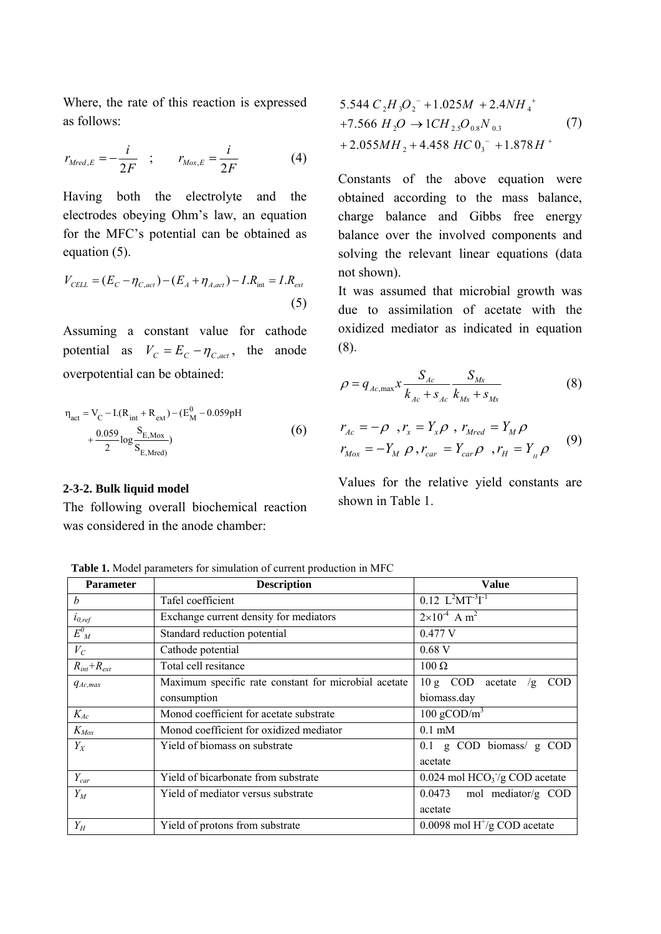Where, the rate of this reaction is expressed as follows:

$$
r_{\text{Mred},E} = -\frac{i}{2F} \quad ; \qquad r_{\text{Mox},E} = \frac{i}{2F} \tag{4}
$$

Having both the electrolyte and the electrodes obeying Ohm's law, an equation for the MFC's potential can be obtained as equation (5).

$$
V_{CELL} = (E_C - \eta_{C,act}) - (E_A + \eta_{A,act}) - I.R_{int} = I.R_{ext}
$$
\n(5)

Assuming a constant value for cathode potential as  $V_C = E_C - \eta_{C,act}$ , the anode overpotential can be obtained:

$$
\eta_{\text{act}} = V_{\text{C}} - I(R_{\text{int}} + R_{\text{ext}}) - (E_{\text{M}}^{0} - 0.059 \text{pH} + \frac{0.059}{2} \log \frac{S_{\text{E,Max}}}{S_{\text{E, Mred}}})
$$
(6)

#### **2-3-2. Bulk liquid model**

The following overall biochemical reaction was considered in the anode chamber:

$$
5.544 C2H3O2- + 1.025M + 2.4NH4++7.566 H2O  $\rightarrow$  1CH<sub>2.5</sub>O<sub>0.8</sub>N<sub>0.3</sub> (7)  
+2.055MH<sub>2</sub> + 4.458 HC 0<sub>3</sub><sup>-</sup> + 1.878 H<sup>+</sup>
$$

Constants of the above equation were obtained according to the mass balance, charge balance and Gibbs free energy balance over the involved components and solving the relevant linear equations (data not shown).

It was assumed that microbial growth was due to assimilation of acetate with the oxidized mediator as indicated in equation (8).

$$
\rho = q_{Ac,\max} x \frac{S_{Ac}}{k_{Ac} + s_{Ac}} \frac{S_{Mx}}{k_{Mx} + s_{Mx}}
$$
(8)

$$
r_{Ac} = -\rho, r_x = Y_x \rho, r_{Mred} = Y_M \rho
$$
  

$$
r_{Mox} = -Y_M \rho, r_{car} = Y_{car} \rho, r_H = Y_{\mu} \rho
$$
 (9)

Values for the relative yield constants are shown in Table 1.

 **Table 1.** Model parameters for simulation of current production in MFC

| <b>Parameter</b>  | <b>Description</b>                                   | Value                                               |
|-------------------|------------------------------------------------------|-----------------------------------------------------|
| $\boldsymbol{h}$  | Tafel coefficient                                    | $0.12$ $L^2MT^{-3}T^{-1}$                           |
| $i_{0,ref}$       | Exchange current density for mediators               | $2\times10^{-4}$ A m <sup>2</sup>                   |
| $E^{0}_{M}$       | Standard reduction potential                         | 0.477 V                                             |
| $V_C$             | Cathode potential                                    | $0.68$ V                                            |
| $R_{int}+R_{ext}$ | Total cell resitance                                 | $100 \Omega$                                        |
| $q_{Ac,max}$      | Maximum specific rate constant for microbial acetate | $10 g$ COD<br><b>COD</b><br>acetate<br>/g           |
|                   | consumption                                          | biomass.day                                         |
| $K_{Ac}$          | Monod coefficient for acetate substrate              | 100 gCOD/ $m3$                                      |
| $K_{Mox}$         | Monod coefficient for oxidized mediator              | $0.1$ mM                                            |
| $Y_X$             | Yield of biomass on substrate                        | $0.1$ g COD biomass/g COD                           |
|                   |                                                      | acetate                                             |
| $Y_{car}$         | Yield of bicarbonate from substrate                  | $0.024$ mol HCO <sub>3</sub> $\gamma$ g COD acetate |
| $Y_M$             | Yield of mediator versus substrate                   | mol mediator/g COD<br>0.0473                        |
|                   |                                                      | acetate                                             |
| $Y_H$             | Yield of protons from substrate                      | 0.0098 mol $H^{\dagger}/g$ COD acetate              |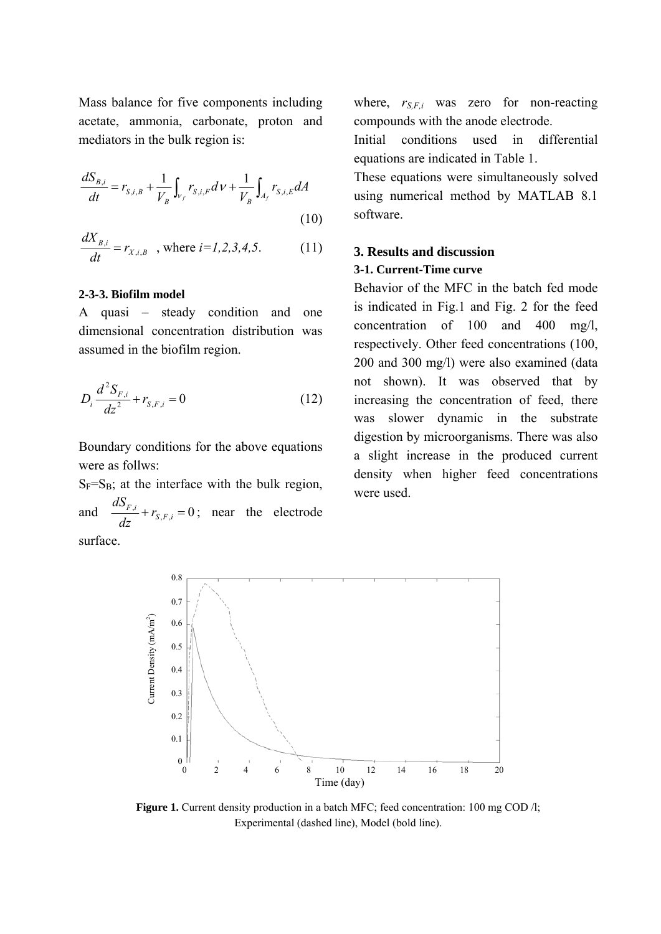Mass balance for five components including acetate, ammonia, carbonate, proton and mediators in the bulk region is:

$$
\frac{dS_{B,i}}{dt} = r_{S,i,B} + \frac{1}{V_B} \int_{V_f} r_{S,i,F} dV + \frac{1}{V_B} \int_{A_f} r_{S,i,E} dA
$$
\n(10)

$$
\frac{dX_{B,i}}{dt} = r_{X,i,B} \quad \text{, where } i = 1,2,3,4,5. \tag{11}
$$

#### **2-3-3. Biofilm model**

A quasi – steady condition and one dimensional concentration distribution was assumed in the biofilm region.

$$
D_i \frac{d^2 S_{F,i}}{dz^2} + r_{S,F,i} = 0
$$
 (12)

Boundary conditions for the above equations were as follws:

 $S_F=S_B$ ; at the interface with the bulk region, and  $\frac{aS_{F,i}}{I} + r_{S,F,i} = 0$ *dz dS* ; near the electrode surface.

where,  $r_{S,F,i}$  was zero for non-reacting compounds with the anode electrode.

Initial conditions used in differential equations are indicated in Table 1.

These equations were simultaneously solved using numerical method by MATLAB 8.1 software.

# **3. Results and discussion 3-1. Current-Time curve**

Behavior of the MFC in the batch fed mode is indicated in Fig.1 and Fig. 2 for the feed concentration of 100 and 400 mg/l, respectively. Other feed concentrations (100, 200 and 300 mg/l) were also examined (data not shown). It was observed that by increasing the concentration of feed, there was slower dynamic in the substrate digestion by microorganisms. There was also a slight increase in the produced current density when higher feed concentrations were used.



**Figure 1.** Current density production in a batch MFC; feed concentration: 100 mg COD /l; Experimental (dashed line), Model (bold line).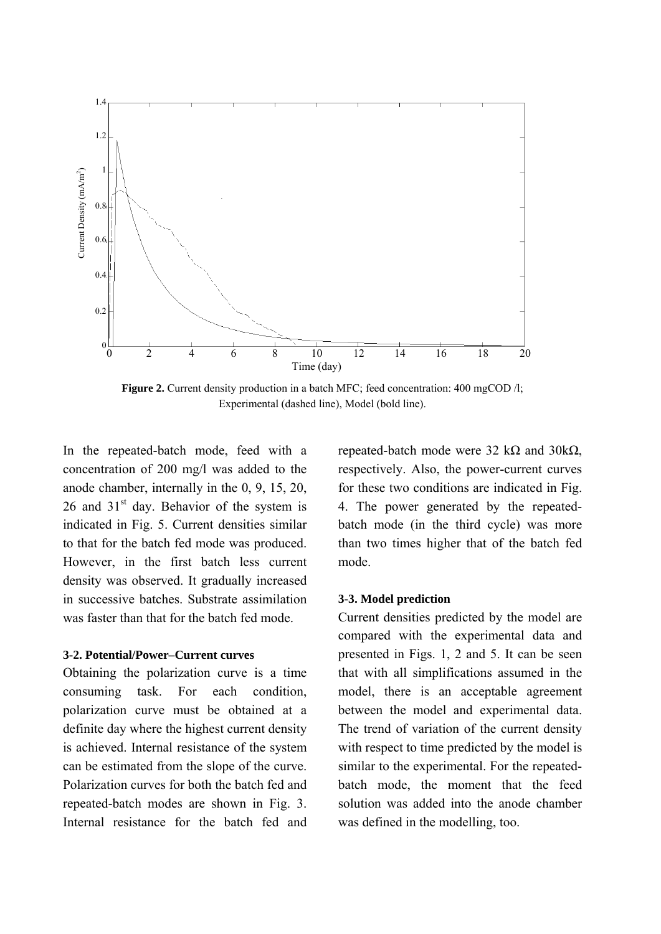

**Figure 2.** Current density production in a batch MFC; feed concentration: 400 mgCOD /l; Experimental (dashed line), Model (bold line).

In the repeated-batch mode, feed with a concentration of 200 mg/l was added to the anode chamber, internally in the 0, 9, 15, 20, 26 and  $31<sup>st</sup>$  day. Behavior of the system is indicated in Fig. 5. Current densities similar to that for the batch fed mode was produced. However, in the first batch less current density was observed. It gradually increased in successive batches. Substrate assimilation was faster than that for the batch fed mode.

#### **3-2. Potential/Power–Current curves**

Obtaining the polarization curve is a time consuming task. For each condition, polarization curve must be obtained at a definite day where the highest current density is achieved. Internal resistance of the system can be estimated from the slope of the curve. Polarization curves for both the batch fed and repeated-batch modes are shown in Fig. 3. Internal resistance for the batch fed and repeated-batch mode were 32 kΩ and 30 k $Ω$ , respectively. Also, the power-current curves for these two conditions are indicated in Fig. 4. The power generated by the repeatedbatch mode (in the third cycle) was more than two times higher that of the batch fed mode.

#### **3-3. Model prediction**

Current densities predicted by the model are compared with the experimental data and presented in Figs. 1, 2 and 5. It can be seen that with all simplifications assumed in the model, there is an acceptable agreement between the model and experimental data. The trend of variation of the current density with respect to time predicted by the model is similar to the experimental. For the repeatedbatch mode, the moment that the feed solution was added into the anode chamber was defined in the modelling, too.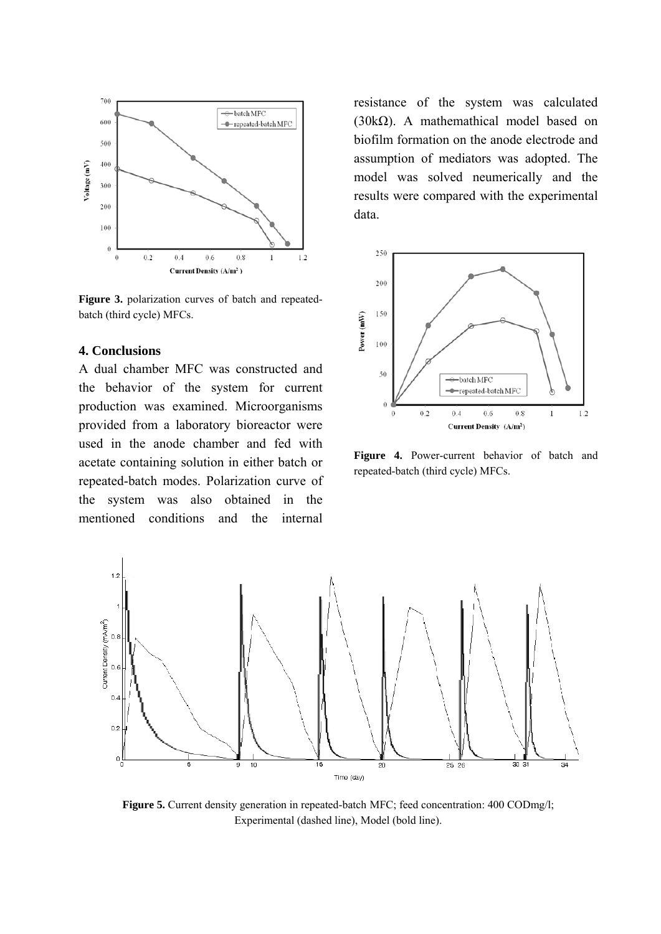

**Figure 3.** polarization curves of batch and repeatedbatch (third cycle) MFCs.

## **4. Conclusions**

A dual chamber MFC was constructed and the behavior of the system for current production was examined. Microorganisms provided from a laboratory bioreactor were used in the anode chamber and fed with acetate containing solution in either batch or repeated-batch modes. Polarization curve of the system was also obtained in the mentioned conditions and the internal

resistance of the system was calculated (30kΩ). A mathemathical model based on biofilm formation on the anode electrode and assumption of mediators was adopted. The model was solved neumerically and the results were compared with the experimental data.



**Figure 4.** Power-current behavior of batch and repeated-batch (third cycle) MFCs.



**Figure 5.** Current density generation in repeated-batch MFC; feed concentration: 400 CODmg/l; Experimental (dashed line), Model (bold line).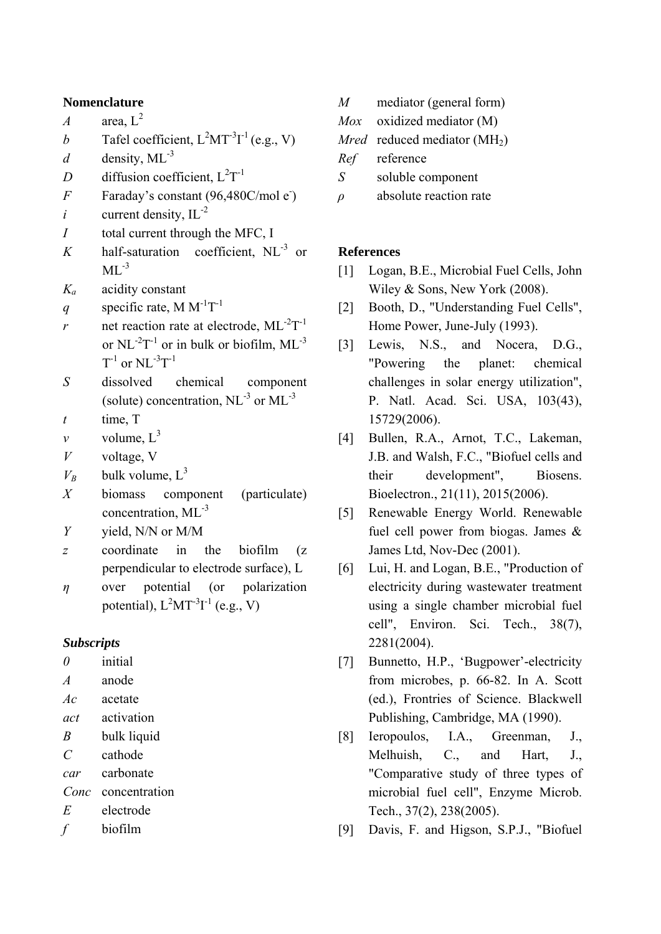## **Nomenclature**

*A* area,  $L^2$ 

- *b* Tafel coefficient,  $L^2MT^{-3}I^{-1}$  (e.g., V)
- $d$  density, ML<sup>-3</sup>
- *D* diffusion coefficient,  $L^2T^{-1}$
- *F* Faraday's constant  $(96,480C/mol e^{\cdot})$
- $i$  current density,  $IL^{-2}$
- *I* total current through the MFC, I
- $K$  half-saturation coefficient,  $NL^{-3}$  or  $ML^{-3}$
- *Ka* acidity constant
- *q* specific rate, M  $M^{-1}T^{-1}$
- *r* net reaction rate at electrode,  $ML^{-2}T^{-1}$ or  $NL^{-2}T^{-1}$  or in bulk or biofilm,  $ML^{-3}$  $T^{-1}$  or NL $^{-3}T^{-1}$
- *S* dissolved chemical component (solute) concentration,  $NL^{-3}$  or  $ML^{-3}$
- *t* time, T
- *v* volume,  $L^3$
- *V* voltage, V
- $V_B$  bulk volume,  $L^3$
- *X* biomass component (particulate) concentration, ML-3
- *Y* yield, N/N or M/M
- *z* coordinate in the biofilm (z perpendicular to electrode surface), L
- *η* over potential (or polarization potential),  $L^2MT^{-3}I^{-1}$  (e.g., V)

### *Subscripts*

*0* initial

- *A* anode
- *Ac* acetate
- *act* activation
- *B* bulk liquid
- *C* cathode
- *car* carbonate
- *Conc* concentration
- *E* electrode
- *f* biofilm
- *M* mediator (general form)
- *Mox* oxidized mediator (M)
- *Mred* reduced mediator  $(MH<sub>2</sub>)$
- *Ref* reference
- *S* soluble component
- *ρ* absolute reaction rate

## **References**

- [1] Logan, B.E., Microbial Fuel Cells, John Wiley & Sons, New York (2008).
- [2] Booth, D., "Understanding Fuel Cells", Home Power, June-July (1993).
- [3] Lewis, N.S., and Nocera, D.G., "Powering the planet: chemical challenges in solar energy utilization", P. Natl. Acad. Sci. USA, 103(43), 15729(2006).
- [4] Bullen, R.A., Arnot, T.C., Lakeman, J.B. and Walsh, F.C., "Biofuel cells and their development", Biosens. Bioelectron., 21(11), 2015(2006).
- [5] Renewable Energy World. Renewable fuel cell power from biogas. James & James Ltd, Nov-Dec (2001).
- [6] Lui, H. and Logan, B.E., "Production of electricity during wastewater treatment using a single chamber microbial fuel cell", Environ. Sci. Tech., 38(7), 2281(2004).
- [7] Bunnetto, H.P., 'Bugpower'-electricity from microbes, p. 66-82. In A. Scott (ed.), Frontries of Science. Blackwell Publishing, Cambridge, MA (1990).
- [8] Ieropoulos, I.A., Greenman, J., Melhuish, C., and Hart, J., "Comparative study of three types of microbial fuel cell", Enzyme Microb. Tech., 37(2), 238(2005).
- [9] Davis, F. and Higson, S.P.J., "Biofuel